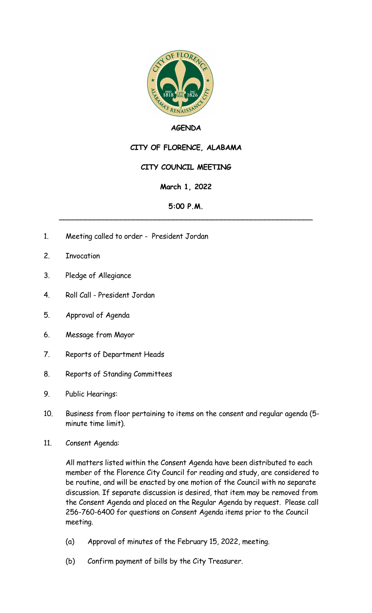

### **AGENDA**

# **CITY OF FLORENCE, ALABAMA**

## **CITY COUNCIL MEETING**

### **March 1, 2022**

#### **5:00 P.M.** \_\_\_\_\_\_\_\_\_\_\_\_\_\_\_\_\_\_\_\_\_\_\_\_\_\_\_\_\_\_\_\_\_\_\_\_\_\_\_\_\_\_\_\_\_\_\_\_\_\_\_\_\_\_\_\_\_\_

- 1. Meeting called to order President Jordan
- 2. Invocation
- 3. Pledge of Allegiance
- 4. Roll Call President Jordan
- 5. Approval of Agenda
- 6. Message from Mayor
- 7. Reports of Department Heads
- 8. Reports of Standing Committees
- 9. Public Hearings:
- 10. Business from floor pertaining to items on the consent and regular agenda (5 minute time limit).
- 11. Consent Agenda:

All matters listed within the Consent Agenda have been distributed to each member of the Florence City Council for reading and study, are considered to be routine, and will be enacted by one motion of the Council with no separate discussion. If separate discussion is desired, that item may be removed from the Consent Agenda and placed on the Regular Agenda by request. Please call 256-760-6400 for questions on Consent Agenda items prior to the Council meeting.

- (a) Approval of minutes of the February 15, 2022, meeting.
- (b) Confirm payment of bills by the City Treasurer.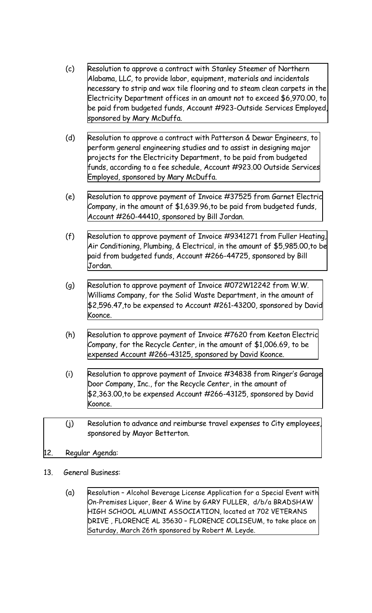- (c) Resolution to approve a contract with Stanley Steemer of Northern Alabama, LLC, to provide labor, equipment, materials and incidentals necessary to strip and wax tile flooring and to steam clean carpets in the Electricity Department offices in an amount not to exceed \$6,970.00, to be paid from budgeted funds, Account [#923-Outside](https://www.shoalsweb.com/agenda/03012211c.pdf) Services Employed, sponsored by Mary McDuffa.
- (d) Resolution to approve a contract with Patterson & Dewar Engineers, to perform general engineering studies and to assist in designing major projects for the Electricity [Department,](https://www.shoalsweb.com/agenda/03012211d.pdf) to be paid from budgeted funds, according to a fee schedule, Account #923.00 Outside Services Employed, sponsored by Mary McDuffa.
- (e) Resolution to approve payment of Invoice #37525 from Garnet Electric Company, in the amount of \$1,639.96,to be paid from budgeted funds, Account [#260-44410,](https://www.shoalsweb.com/agenda/03012211e.pdf) sponsored by Bill Jordan.
- (f) Resolution to approve payment of Invoice #9341271 from Fuller Heating, Air Conditioning, Plumbing, & Electrical, in the amount of \$5,985.00,to be paid from budgeted funds, Account [#266-44725,](https://www.shoalsweb.com/agenda/03012211f.pdf) sponsored by Bill Jordan.
- (g) Resolution to approve payment of Invoice [#072W12242](https://www.shoalsweb.com/agenda/03012211g.pdf) from W.W. Williams Company, for the Solid Waste Department, in the amount of \$2,596.47,to be expensed to Account #261-43200, sponsored by David Koonce.
- (h) Resolution to approve payment of Invoice #7620 from Keeton Electric Company, for the Recycle Center, in the amount of \$1,006.69, to be expensed Account [#266-43125,](https://www.shoalsweb.com/agenda/03012211h.pdf) sponsored by David Koonce.
- (i) Resolution to approve payment of Invoice #34838 from Ringer's Garage Door Company, Inc., for the Recycle Center, in the amount of \$2,363.00,to be expensed Account [#266-43125,](https://www.shoalsweb.com/agenda/03012211i.pdf) sponsored by David Koonce.
- (j) Resolution to advance and reimburse travel expenses to City [employees,](https://www.shoalsweb.com/agenda/03012211j.pdf) sponsored by Mayor Betterton.
- 12. Regular Agenda:
- 13. General Business:
	- (a) Resolution Alcohol Beverage License Application for a Special Event with On-Premises Liquor, Beer & Wine by GARY FULLER, d/b/a BRADSHAW HIGH SCHOOL ALUMNI ASSOCIATION, located at 702 VETERANS [DRIVE , FLORENCE AL 35630 – FLORENCE COLISEUM, to take place on](https://www.shoalsweb.com/agenda/03012213a.pdf) Saturday, March 26th sponsored by Robert M. Leyde.